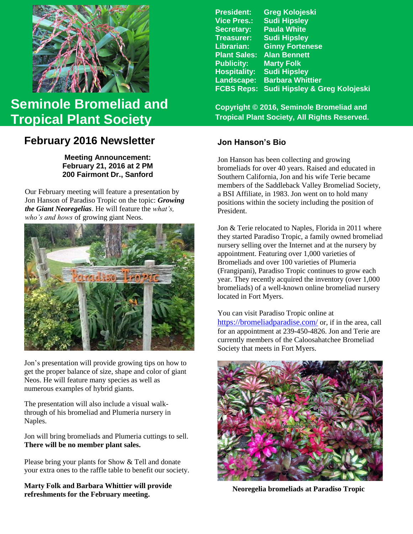

# **Seminole Bromeliad and Tropical Plant Society**

## **February 2016 Newsletter Jon Hanson's Bio**

**Meeting Announcement: February 21, 2016 at 2 PM 200 Fairmont Dr., Sanford**

Our February meeting will feature a presentation by Jon Hanson of Paradiso Tropic on the topic: *Growing the Giant Neoregelias*. He will feature the *what's, who's and hows* of growing giant Neos.



Jon's presentation will provide growing tips on how to get the proper balance of size, shape and color of giant Neos. He will feature many species as well as numerous examples of hybrid giants.

The presentation will also include a visual walkthrough of his bromeliad and Plumeria nursery in Naples.

Jon will bring bromeliads and Plumeria cuttings to sell. **There will be no member plant sales.**

Please bring your plants for Show & Tell and donate your extra ones to the raffle table to benefit our society.

**Marty Folk and Barbara Whittier will provide refreshments for the February meeting.**

| <b>President:</b>   | <b>Greg Kolojeski</b>         |
|---------------------|-------------------------------|
| <b>Vice Pres.:</b>  | <b>Sudi Hipsley</b>           |
| <b>Secretary:</b>   | <b>Paula White</b>            |
| <b>Treasurer:</b>   | <b>Sudi Hipsley</b>           |
| Librarian:          | <b>Ginny Fortenese</b>        |
| <b>Plant Sales:</b> | <b>Alan Bennett</b>           |
| <b>Publicity:</b>   | <b>Marty Folk</b>             |
| <b>Hospitality:</b> | <b>Sudi Hipsley</b>           |
| Landscape:          | <b>Barbara Whittier</b>       |
| <b>FCBS Reps:</b>   | Sudi Hipsley & Greg Kolojeski |
|                     |                               |

**Copyright © 2016, Seminole Bromeliad and Tropical Plant Society, All Rights Reserved.**

Jon Hanson has been collecting and growing bromeliads for over 40 years. Raised and educated in Southern California, Jon and his wife Terie became members of the Saddleback Valley Bromeliad Society, a BSI Affiliate, in 1983. Jon went on to hold many positions within the society including the position of President.

Jon & Terie relocated to Naples, Florida in 2011 where they started Paradiso Tropic, a family owned bromeliad nursery selling over the Internet and at the nursery by appointment. Featuring over 1,000 varieties of Bromeliads and over 100 varieties of Plumeria (Frangipani), Paradiso Tropic continues to grow each year. They recently acquired the inventory (over 1,000 bromeliads) of a well-known online bromeliad nursery located in Fort Myers.

You can visit Paradiso Tropic online at <https://bromeliadparadise.com/> or, if in the area, call for an appointment at 239-450-4826. Jon and Terie are currently members of the Caloosahatchee Bromeliad Society that meets in Fort Myers.



 **Neoregelia bromeliads at Paradiso Tropic**